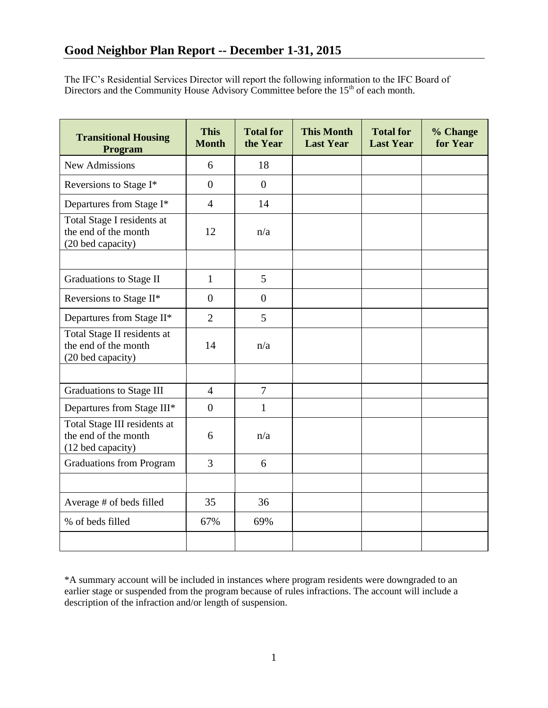The IFC's Residential Services Director will report the following information to the IFC Board of Directors and the Community House Advisory Committee before the  $15<sup>th</sup>$  of each month.

| <b>Transitional Housing</b><br>Program                                    | <b>This</b><br><b>Month</b> | <b>Total for</b><br>the Year | <b>This Month</b><br><b>Last Year</b> | <b>Total for</b><br><b>Last Year</b> | % Change<br>for Year |
|---------------------------------------------------------------------------|-----------------------------|------------------------------|---------------------------------------|--------------------------------------|----------------------|
| <b>New Admissions</b>                                                     | 6                           | 18                           |                                       |                                      |                      |
| Reversions to Stage I*                                                    | $\overline{0}$              | $\Omega$                     |                                       |                                      |                      |
| Departures from Stage I*                                                  | $\overline{4}$              | 14                           |                                       |                                      |                      |
| Total Stage I residents at<br>the end of the month<br>(20 bed capacity)   | 12                          | n/a                          |                                       |                                      |                      |
|                                                                           |                             |                              |                                       |                                      |                      |
| <b>Graduations to Stage II</b>                                            | $\mathbf{1}$                | 5                            |                                       |                                      |                      |
| Reversions to Stage II*                                                   | $\overline{0}$              | $\overline{0}$               |                                       |                                      |                      |
| Departures from Stage II*                                                 | $\overline{2}$              | 5                            |                                       |                                      |                      |
| Total Stage II residents at<br>the end of the month<br>(20 bed capacity)  | 14                          | n/a                          |                                       |                                      |                      |
|                                                                           |                             |                              |                                       |                                      |                      |
| <b>Graduations to Stage III</b>                                           | $\overline{4}$              | $\overline{7}$               |                                       |                                      |                      |
| Departures from Stage III*                                                | $\overline{0}$              | $\mathbf{1}$                 |                                       |                                      |                      |
| Total Stage III residents at<br>the end of the month<br>(12 bed capacity) | 6                           | n/a                          |                                       |                                      |                      |
| <b>Graduations from Program</b>                                           | 3                           | 6                            |                                       |                                      |                      |
|                                                                           |                             |                              |                                       |                                      |                      |
| Average # of beds filled                                                  | 35                          | 36                           |                                       |                                      |                      |
| % of beds filled                                                          | 67%                         | 69%                          |                                       |                                      |                      |
|                                                                           |                             |                              |                                       |                                      |                      |

\*A summary account will be included in instances where program residents were downgraded to an earlier stage or suspended from the program because of rules infractions. The account will include a description of the infraction and/or length of suspension.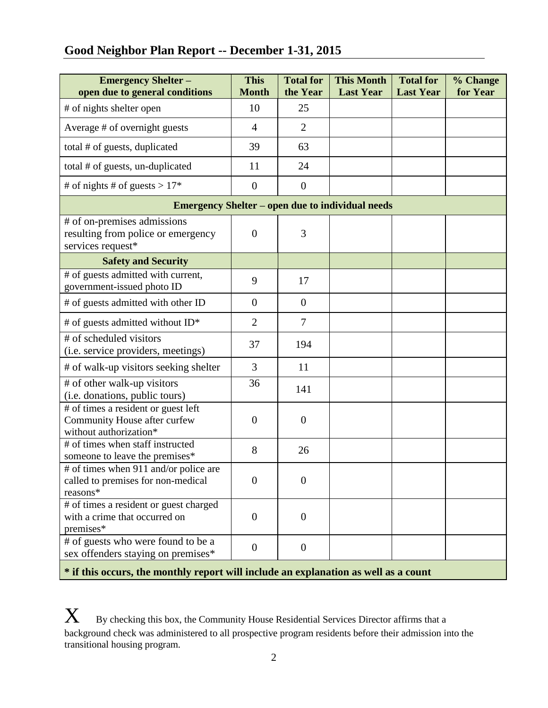# **Good Neighbor Plan Report -- December 1-31, 2015**

| <b>Emergency Shelter -</b><br>open due to general conditions                                  | <b>This</b><br><b>Month</b> | <b>Total for</b><br>the Year | <b>This Month</b><br><b>Last Year</b> | <b>Total for</b><br><b>Last Year</b> | % Change<br>for Year |  |  |  |
|-----------------------------------------------------------------------------------------------|-----------------------------|------------------------------|---------------------------------------|--------------------------------------|----------------------|--|--|--|
| # of nights shelter open                                                                      | 10                          | 25                           |                                       |                                      |                      |  |  |  |
| Average # of overnight guests                                                                 | $\overline{4}$              | $\overline{2}$               |                                       |                                      |                      |  |  |  |
| total # of guests, duplicated                                                                 | 39                          | 63                           |                                       |                                      |                      |  |  |  |
| total # of guests, un-duplicated                                                              | 11                          | 24                           |                                       |                                      |                      |  |  |  |
| # of nights # of guests > $17*$                                                               | $\theta$                    | $\theta$                     |                                       |                                      |                      |  |  |  |
| <b>Emergency Shelter – open due to individual needs</b>                                       |                             |                              |                                       |                                      |                      |  |  |  |
| # of on-premises admissions<br>resulting from police or emergency<br>services request*        | $\overline{0}$              | 3                            |                                       |                                      |                      |  |  |  |
| <b>Safety and Security</b>                                                                    |                             |                              |                                       |                                      |                      |  |  |  |
| # of guests admitted with current,<br>government-issued photo ID                              | 9                           | 17                           |                                       |                                      |                      |  |  |  |
| # of guests admitted with other ID                                                            | $\overline{0}$              | $\overline{0}$               |                                       |                                      |                      |  |  |  |
| # of guests admitted without ID*                                                              | $\overline{2}$              | $\overline{7}$               |                                       |                                      |                      |  |  |  |
| # of scheduled visitors<br>(i.e. service providers, meetings)                                 | 37                          | 194                          |                                       |                                      |                      |  |  |  |
| # of walk-up visitors seeking shelter                                                         | 3                           | 11                           |                                       |                                      |                      |  |  |  |
| # of other walk-up visitors<br>(i.e. donations, public tours)                                 | 36                          | 141                          |                                       |                                      |                      |  |  |  |
| # of times a resident or guest left<br>Community House after curfew<br>without authorization* | $\theta$                    | $\overline{0}$               |                                       |                                      |                      |  |  |  |
| # of times when staff instructed<br>someone to leave the premises*                            | 8                           | 26                           |                                       |                                      |                      |  |  |  |
| # of times when 911 and/or police are<br>called to premises for non-medical<br>reasons*       | $\overline{0}$              | $\overline{0}$               |                                       |                                      |                      |  |  |  |
| # of times a resident or guest charged<br>with a crime that occurred on<br>premises*          | $\overline{0}$              | $\theta$                     |                                       |                                      |                      |  |  |  |
| # of guests who were found to be a<br>sex offenders staying on premises*                      | $\boldsymbol{0}$            | $\overline{0}$               |                                       |                                      |                      |  |  |  |

**\* if this occurs, the monthly report will include an explanation as well as a count**

 $\boldsymbol{X}$  By checking this box, the Community House Residential Services Director affirms that a background check was administered to all prospective program residents before their admission into the transitional housing program.